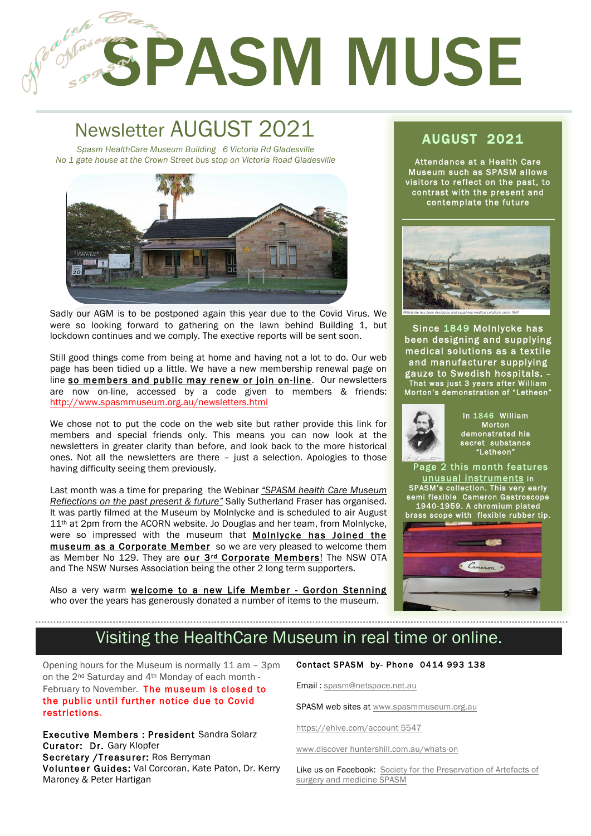# SPASM MUSE

### Newsletter AUGUST 2021 AUGUST 2021 *Spasm HealthCare Museum Building 6 Victoria Rd Gladesville*

1

2

*No 1 gate house at the Crown Street bus stop on Victoria Road Gladesville*



Sadly our AGM is to be postponed again this year due to the Covid Virus. We were so looking forward to gathering on the lawn behind Building 1, but lockdown continues and we comply. The exective reports will be sent soon.

Still good things come from being at home and having not a lot to do. Our web page has been tidied up a little. We have a new membership renewal page on line so members and public may renew or join on-line. Our newsletters are now on-line, accessed by a code given to members & friends: http://www.spasmmuseum.org.au/newsletters.html

We chose not to put the code on the web site but rather provide this link for members and special friends only. This means you can now look at the newsletters in greater clarity than before, and look back to the more historical ones. Not all the newsletters are there – just a selection. Apologies to those having difficulty seeing them previously.

Last month was a time for preparing the Webinar *"SPASM health Care Museum Reflections on the past present & future"* Sally Sutherland Fraser has organised. It was partly filmed at the Museum by Molnlycke and is scheduled to air August  $11<sup>th</sup>$  at 2pm from the ACORN website. Jo Douglas and her team, from Molnlycke, were so impressed with the museum that Molnlycke has Joined the museum as a Corporate Member so we are very pleased to welcome them as Member No 129. They are our 3rd Corporate Members! The NSW OTA and The NSW Nurses Association being the other 2 long term supporters.

Also a very warm welcome to a new Life Member - Gordon Stenning who over the years has generously donated a number of items to the museum.

Attendance at a Health Care Museum such as SPASM allows visitors to reflect on the past, to contrast with the present and contemplate the future



Since 1849 Molnlycke has been designing and supplying medical solutions as a textile and manufacturer supplying gauze to Swedish hospitals. – That was just 3 years after William Morton's demonstration of "Letheon"



In 1846 William Morton demonstrated his secret substance "Letheon"

 Page 2 this month features unusual instruments in SPASM's collection. This very early semi flexible Cameron Gastroscope 1940-1959. A chromium plated brass scope with flexible rubber tip.



# Visiting the HealthCare Museum in real time or online.

Opening hours for the Museum is normally 11 am – 3pm on the 2nd Saturday and 4th Monday of each month - February to November. The museum is closed to the public until further notice due to Covid restrictions.

Executive Members : President Sandra Solarz Curator: Dr. Gary Klopfer Secretary /Treasurer: Ros Berryman Volunteer Guides: Val Corcoran, Kate Paton, Dr. Kerry Maroney & Peter Hartigan

#### Contact SPASM by- Phone 0414 993 138

Email : spasm@netspace.net.au

SPASM web sites at www.spasmmuseum.org.au

https://ehive.com/account 5547

www.discover huntershill.com.au/whats-on

Like us on Facebook: Society for the Preservation of Artefacts of surgery and medicine SPASM